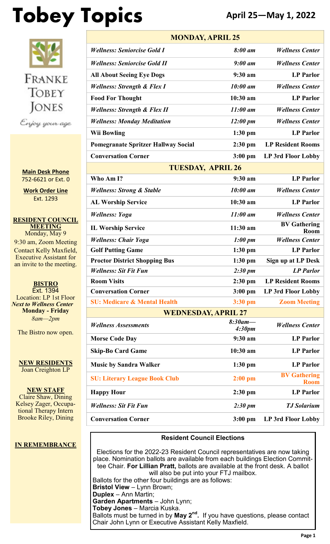# **Tobey Topics April 25—May 1, 2022**



**Main Desk Phone** 752-6621 or Ext. 0

**Work Order Line** Ext. 1293

**RESIDENT COUNCIL MEETING** Monday, May 9 9:30 am, Zoom Meeting Contact Kelly Maxfield, Executive Assistant for an invite to the meeting.

**BISTRO** Ext. 1394 Location: LP 1st Floor *Next to Wellness Center* **Monday - Friday** *8am—2pm*

The Bistro now open.

**NEW RESIDENTS** Joan Creighton LP

**NEW STAFF** Claire Shaw, Dining Kelsey Zager, Occupational Therapy Intern Brooke Riley, Dining

#### **IN REMEMBRANCE**

| <b>MONDAY, APRIL 25</b>                    |                                  |                                    |  |  |
|--------------------------------------------|----------------------------------|------------------------------------|--|--|
| <b>Wellness: Seniorcise Gold I</b>         | 8:00 am                          | <b>Wellness Center</b>             |  |  |
| <b>Wellness: Seniorcise Gold II</b>        | $9:00 \text{ }$ am               | <b>Wellness Center</b>             |  |  |
| <b>All About Seeing Eye Dogs</b>           | $9:30$ am                        | <b>LP</b> Parlor                   |  |  |
| <b>Wellness: Strength &amp; Flex I</b>     | 10:00 am                         | <b>Wellness Center</b>             |  |  |
| <b>Food For Thought</b>                    | 10:30 am                         | <b>LP</b> Parlor                   |  |  |
| <b>Wellness: Strength &amp; Flex II</b>    | $11:00$ am                       | <b>Wellness Center</b>             |  |  |
| <b>Wellness: Monday Meditation</b>         | $12:00 \text{ pm}$               | <b>Wellness Center</b>             |  |  |
| <b>Wii Bowling</b>                         | $1:30$ pm                        | <b>LP Parlor</b>                   |  |  |
| <b>Pomegranate Spritzer Hallway Social</b> | $2:30$ pm                        | <b>LP Resident Rooms</b>           |  |  |
| <b>Conversation Corner</b>                 | $3:00$ pm                        | <b>LP 3rd Floor Lobby</b>          |  |  |
| <b>TUESDAY, APRIL 26</b>                   |                                  |                                    |  |  |
| Who Am I?                                  | $9:30$ am                        | <b>LP</b> Parlor                   |  |  |
| <b>Wellness: Strong &amp; Stable</b>       | 10:00 am                         | <b>Wellness Center</b>             |  |  |
| <b>AL Worship Service</b>                  | $10:30$ am                       | <b>LP</b> Parlor                   |  |  |
| <b>Wellness: Yoga</b>                      | $11:00$ am                       | <b>Wellness Center</b>             |  |  |
| <b>IL Worship Service</b>                  | 11:30 am                         | <b>BV Gathering</b><br>Room        |  |  |
| <b>Wellness: Chair Yoga</b>                | $1:00 \text{ pm}$                | <b>Wellness Center</b>             |  |  |
| <b>Golf Putting Game</b>                   | $1:30$ pm                        | <b>LP</b> Parlor                   |  |  |
| <b>Proctor District Shopping Bus</b>       | $1:30$ pm                        | Sign up at LP Desk                 |  |  |
| <b>Wellness: Sit Fit Fun</b>               | $2:30 \text{ pm}$                | <b>LP</b> Parlor                   |  |  |
| <b>Room Visits</b>                         | $2:30$ pm                        | <b>LP Resident Rooms</b>           |  |  |
| <b>Conversation Corner</b>                 | $3:00$ pm                        | LP 3rd Floor Lobby                 |  |  |
| <b>SU: Medicare &amp; Mental Health</b>    | $3:30$ pm                        | <b>Zoom Meeting</b>                |  |  |
| <b>WEDNESDAY, APRIL 27</b>                 |                                  |                                    |  |  |
| <b>Wellness Assessments</b>                | $8:30$ am-<br>4:30 <sub>pm</sub> | <b>Wellness Center</b>             |  |  |
| <b>Morse Code Day</b>                      | 9:30 am                          | <b>LP Parlor</b>                   |  |  |
| <b>Skip-Bo Card Game</b>                   | 10:30 am                         | <b>LP Parlor</b>                   |  |  |
| <b>Music by Sandra Walker</b>              | $1:30$ pm                        | <b>LP</b> Parlor                   |  |  |
| <b>SU: Literary League Book Club</b>       | $2:00$ pm                        | <b>BV Gathering</b><br><b>Room</b> |  |  |
| <b>Happy Hour</b>                          | $2:30$ pm                        | <b>LP Parlor</b>                   |  |  |
| <b>Wellness: Sit Fit Fun</b>               | $2:30 \text{ pm}$                | <b>TJ</b> Solarium                 |  |  |
| <b>Conversation Corner</b>                 | $3:00$ pm                        | LP 3rd Floor Lobby                 |  |  |

#### **Resident Council Elections**

Elections for the 2022-23 Resident Council representatives are now taking place. Nomination ballots are available from each buildings Election Committee Chair. **For Lillian Pratt,** ballots are available at the front desk. A ballot will also be put into your FTJ mailbox. Ballots for the other four buildings are as follows: **Bristol View** – Lynn Brown; **Duplex** – Ann Martin; **Garden Apartments** – John Lynn; **Tobey Jones** – Marcia Kuska. Ballots must be turned in by **May 2nd .** If you have questions, please contact Chair John Lynn or Executive Assistant Kelly Maxfield.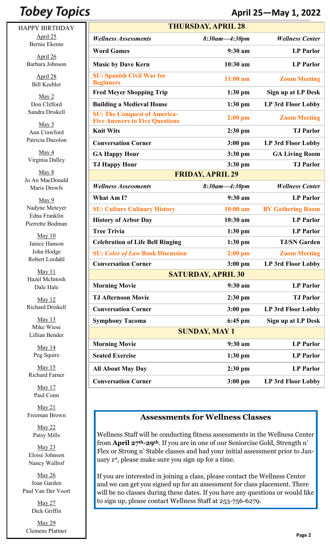## **Tobey Topics**

HAPPY BIRTHDAY April 25 Bernie Ekemo

> April 26 Barbara Johnson

> > April 28 Bill Keebler

May 2 Don Clifford Sandra Driskell

 $May 3$ Ann Crawford Patricia Ducolon

May 4 Virginia Dalley

May 8 Jo An MacDonald Maris Drewfs

May 9 Nadyne Meteyer Edna Franklin Pierrette Bodman

May 10 Janice Hanson John Hodge Robert Lordahl

May 11 Hazel McIntosh Dale Hale

May 12 Richard Driskell

May 13 Mike Wiese Lillian Bender

> May 14 Peg Squire

May 15 Richard Farner

> May 17 Paul Conn

May 21 Freeman Brown

> May 22 Patsy Mills

May 23 Eloise Johnson Nancy Wallrof

May 26 Joan Garden Paul Van Der Voort

> May 27 Dick Griffin

May 29 Clemens Plattner

### **April 25—May 1, 2022**

| <b>THURSDAY, APRIL 28</b>                                                    |               |                           |  |  |
|------------------------------------------------------------------------------|---------------|---------------------------|--|--|
| <b>Wellness Assessments</b>                                                  | 8:30am-4:30pm | <b>Wellness Center</b>    |  |  |
| <b>Word Games</b>                                                            | $9:30$ am     | <b>LP</b> Parlor          |  |  |
| <b>Music by Dave Kern</b>                                                    | 10:30 am      | <b>LP</b> Parlor          |  |  |
| <b>SU: Spanish Civil War for</b><br><b>Beginners</b>                         | $11:00$ am    | <b>Zoom Meeting</b>       |  |  |
| <b>Fred Meyer Shopping Trip</b>                                              | $1:30$ pm     | Sign up at LP Desk        |  |  |
| <b>Building a Medieval House</b>                                             | $1:30$ pm     | LP 3rd Floor Lobby        |  |  |
| <b>SU: The Conquest of America-</b><br><b>Five Answers to Five Questions</b> | $2:00$ pm     | <b>Zoom Meeting</b>       |  |  |
| <b>Knit Wits</b>                                                             | $2:30$ pm     | <b>TJ</b> Parlor          |  |  |
| <b>Conversation Corner</b>                                                   | $3:00$ pm     | LP 3rd Floor Lobby        |  |  |
| <b>GA Happy Hour</b>                                                         | $3:30$ pm     | <b>GA Living Room</b>     |  |  |
| <b>TJ Happy Hour</b>                                                         | 3:30 pm       | <b>TJ Parlor</b>          |  |  |
| <b>FRIDAY, APRIL 29</b>                                                      |               |                           |  |  |
| <b>Wellness Assessments</b>                                                  | 8:30am-4:30pm | <b>Wellness Center</b>    |  |  |
| What Am I?                                                                   | 9:30 am       | <b>LP</b> Parlor          |  |  |
| <b>SU: Culture Culinary History</b>                                          | 10:00 am      | <b>BV Gathering Room</b>  |  |  |
| <b>History of Arbor Day</b>                                                  | 10:30 am      | <b>LP</b> Parlor          |  |  |
| <b>Tree Trivia</b>                                                           | $1:30$ pm     | <b>LP</b> Parlor          |  |  |
| <b>Celebration of Life Bell Ringing</b>                                      | $1:30$ pm     | <b>TJ/SN Garden</b>       |  |  |
| <b>SU: Color of Law Book Discussion</b>                                      | $2:00$ pm     | <b>Zoom Meeting</b>       |  |  |
| <b>Conversation Corner</b>                                                   | $3:00$ pm     | <b>LP 3rd Floor Lobby</b> |  |  |
| <b>SATURDAY, APRIL 30</b>                                                    |               |                           |  |  |
| <b>Morning Movie</b>                                                         | 9:30 am       | <b>LP Parlor</b>          |  |  |
| <b>TJ Afternoon Movie</b>                                                    | $2:30$ pm     | <b>TJ</b> Parlor          |  |  |
| <b>Conversation Corner</b>                                                   | $3:00$ pm     | <b>LP 3rd Floor Lobby</b> |  |  |
| <b>Symphony Tacoma</b>                                                       | $6:45$ pm     | Sign up at LP Desk        |  |  |
| <b>SUNDAY, MAY 1</b>                                                         |               |                           |  |  |
| <b>Morning Movie</b>                                                         | $9:30$ am     | <b>LP Parlor</b>          |  |  |
| <b>Seated Exercise</b>                                                       | $1:30$ pm     | <b>LP</b> Parlor          |  |  |
| <b>All About May Day</b>                                                     | $2:30$ pm     | <b>LP</b> Parlor          |  |  |
| <b>Conversation Corner</b>                                                   | $3:00$ pm     | LP 3rd Floor Lobby        |  |  |

#### **Assessments for Wellness Classes**

Wellness Staff will be conducting fitness assessments in the Wellness Center from **April 27th-29th**. If you are in one of our Seniorcise Gold, Strength n' Flex or Strong n' Stable classes and had your initial assessment prior to January 1st, please make sure you sign up for a time.

If you are interested in joining a class, please contact the Wellness Center and we can get you signed up for an assessment for class placement. There will be no classes during these dates. If you have any questions or would like to sign up, please contact Wellness Staff at 253-756-6279.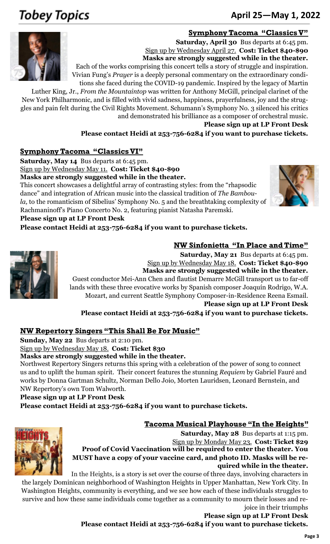## **Tobey Topics**

### June 18-24, 2012 <sup>253</sup>-752-<sup>6621</sup> **April 25—May 1, 2022**

#### **Symphony Tacoma "Classics V"**



**Saturday, April 30** Bus departs at 6:45 pm. Sign up by Wednesday April 27. **Cost: Ticket \$40-\$90 Masks are strongly suggested while in the theater.** Each of the works comprising this concert tells a story of struggle and inspiration.

Vivian Fung's *Prayer* is a deeply personal commentary on the extraordinary conditions she faced during the COVID-19 pandemic. Inspired by the legacy of Martin

Luther King, Jr., *From the Mountaintop* was written for Anthony McGill, principal clarinet of the New York Philharmonic, and is filled with vivid sadness, happiness, prayerfulness, joy and the struggles and pain felt during the Civil Rights Movement. Schumann's Symphony No. 3 silenced his critics and demonstrated his brilliance as a composer of orchestral music.

**Please sign up at LP Front Desk**

**NW Sinfonietta "In Place and Time"**

**Please contact Heidi at 253-756-6284 if you want to purchase tickets.**

#### **Symphony Tacoma "Classics VI"**

**Saturday, May 14** Bus departs at 6:45 pm.

Sign up by Wednesday May 11. **Cost: Ticket \$40-\$90**

**Masks are strongly suggested while in the theater.**

This concert showcases a delightful array of contrasting styles: from the "rhapsodic dance" and integration of African music into the classical tradition of *The Bamboula,* to the romanticism of Sibelius' Symphony No. 5 and the breathtaking complexity of Rachmaninoff's Piano Concerto No. 2, featuring pianist Natasha Paremski.



#### **Please sign up at LP Front Desk**

**Please contact Heidi at 253-756-6284 if you want to purchase tickets.**



**Saturday, May 21** Bus departs at 6:45 pm. Sign up by Wednesday May 18. **Cost: Ticket \$40-\$90 Masks are strongly suggested while in the theater.** Guest conductor Mei-Ann Chen and flautist Demarre McGill transport us to far-off lands with these three evocative works by Spanish composer Joaquín Rodrigo, W.A. Mozart, and current Seattle Symphony Composer-in-Residence Reena Esmail. **Please sign up at LP Front Desk**

**Please contact Heidi at 253-756-6284 if you want to purchase tickets.**

#### **NW Repertory Singers "This Shall Be For Music"**

**Sunday, May 22** Bus departs at 2:10 pm.

Sign up by Wednesday May 18. **Cost: Ticket \$30**

**Masks are strongly suggested while in the theater.**

Northwest Repertory Singers returns this spring with a celebration of the power of song to connect us and to uplift the human spirit. Their concert features the stunning *Requiem* by Gabriel Fauré and works by Donna Gartman Schultz, Norman Dello Joio, Morten Lauridsen, Leonard Bernstein, and NW Repertory's own Tom Walworth.

#### **Please sign up at LP Front Desk**

**Please contact Heidi at 253-756-6284 if you want to purchase tickets.**

#### **Tacoma Musical Playhouse "In the Heights"**



**Saturday, May 28** Bus departs at 1:15 pm. Sign up by Monday May 23. **Cost: Ticket \$29 Proof of Covid Vaccination will be required to enter the theater. You MUST have a copy of your vaccine card, and photo ID. Masks will be required while in the theater.**

In the Heights, is a story is set over the course of three days, involving characters in

the largely [Dominican n](https://en.wikipedia.org/wiki/Culture_of_the_Dominican_Republic)eighborhood of Washington Heights in Upper Manhattan, New York City. In Washington Heights, community is everything, and we see how each of these individuals struggles to survive and how these same individuals come together as a community to mourn their losses and rejoice in their triumphs

**Please sign up at LP Front Desk Please contact Heidi at 253-756-6284 if you want to purchase tickets.**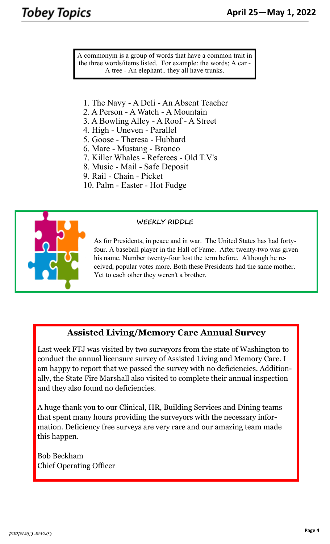A commonym is a group of words that have a common trait in the three words/items listed. For example: the words; A car - A tree - An elephant.. they all have trunks.

- 1. The Navy A Deli An Absent Teacher
- 2. A Person A Watch A Mountain
- 3. A Bowling Alley A Roof A Street
- 4. High Uneven Parallel
- 5. Goose Theresa Hubbard
- 6. Mare Mustang Bronco
- 7. Killer Whales Referees Old T.V's
- 8. Music Mail Safe Deposit
- 9. Rail Chain Picket
- 10. Palm Easter Hot Fudge



#### **WEEKLY RIDDLE**

As for Presidents, in peace and in war. The United States has had fortyfour. A baseball player in the Hall of Fame. After twenty-two was given his name. Number twenty-four lost the term before. Although he received, popular votes more. Both these Presidents had the same mother. Yet to each other they weren't a brother.

#### **Assisted Living/Memory Care Annual Survey**

Last week FTJ was visited by two surveyors from the state of Washington to conduct the annual licensure survey of Assisted Living and Memory Care. I am happy to report that we passed the survey with no deficiencies. Additionally, the State Fire Marshall also visited to complete their annual inspection and they also found no deficiencies.

A huge thank you to our Clinical, HR, Building Services and Dining teams that spent many hours providing the surveyors with the necessary information. Deficiency free surveys are very rare and our amazing team made this happen.

Bob Beckham Chief Operating Officer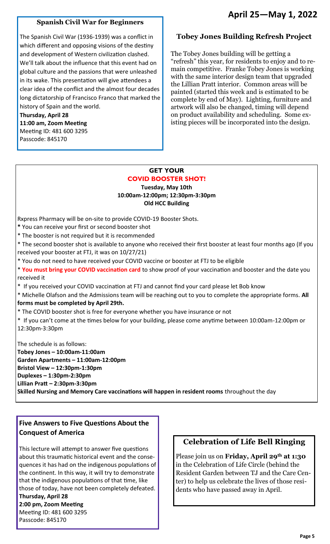#### **April 25—May 1, 2022**

#### **Spanish Civil War for Beginners**

The Spanish Civil War (1936-1939) was a conflict in which different and opposing visions of the destiny and development of Western civilization clashed. We'll talk about the influence that this event had on global culture and the passions that were unleashed in its wake. This presentation will give attendees a clear idea of the conflict and the almost four decades long dictatorship of Francisco Franco that marked the history of Spain and the world.

**Thursday, April 28 11:00 am, Zoom Meeting** Meeting ID: 481 600 3295 Passcode: 845170

#### **Tobey Jones Building Refresh Project**

The Tobey Jones building will be getting a "refresh" this year, for residents to enjoy and to remain competitive. Franke Tobey Jones is working with the same interior design team that upgraded the Lillian Pratt interior. Common areas will be painted (started this week and is estimated to be complete by end of May). Lighting, furniture and artwork will also be changed, timing will depend on product availability and scheduling. Some existing pieces will be incorporated into the design.

#### **GET YOUR COVID BOOSTER SHOT! Tuesday, May 10th 10:00am-12:00pm; 12:30pm-3:30pm Old HCC Building**

Rxpress Pharmacy will be on-site to provide COVID-19 Booster Shots.

- **\*** You can receive your first or second booster shot
- \* The booster is not required but it is recommended

\* The second booster shot is available to anyone who received their first booster at least four months ago (If you received your booster at FTJ, it was on 10/27/21)

\* You do not need to have received your COVID vaccine or booster at FTJ to be eligible

\* **You must bring your COVID vaccination card** to show proof of your vaccination and booster and the date you received it

\* If you received your COVID vaccination at FTJ and cannot find your card please let Bob know

\* Michelle Olafson and the Admissions team will be reaching out to you to complete the appropriate forms. **All forms must be completed by April 29th.** 

- \* The COVID booster shot is free for everyone whether you have insurance or not
- \* If you can't come at the times below for your building, please come anytime between 10:00am-12:00pm or 12:30pm-3:30pm

The schedule is as follows: **Tobey Jones – 10:00am-11:00am Garden Apartments – 11:00am-12:00pm Bristol View – 12:30pm-1:30pm Duplexes – 1:30pm-2:30pm Lillian Pratt – 2:30pm-3:30pm Skilled Nursing and Memory Care vaccinations will happen in resident rooms** throughout the day

#### **Five Answers to Five Questions About the Conquest of America**

This lecture will attempt to answer five questions about this traumatic historical event and the consequences it has had on the indigenous populations of the continent. In this way, it will try to demonstrate that the indigenous populations of that time, like those of today, have not been completely defeated. **Thursday, April 28 2:00 pm, Zoom Meeting**

Meeting ID: 481 600 3295

Passcode: 845170

#### **Celebration of Life Bell Ringing**

Please join us on **Friday, April 29th at 1:30**  in the Celebration of Life Circle (behind the Resident Garden between TJ and the Care Center) to help us celebrate the lives of those residents who have passed away in April.